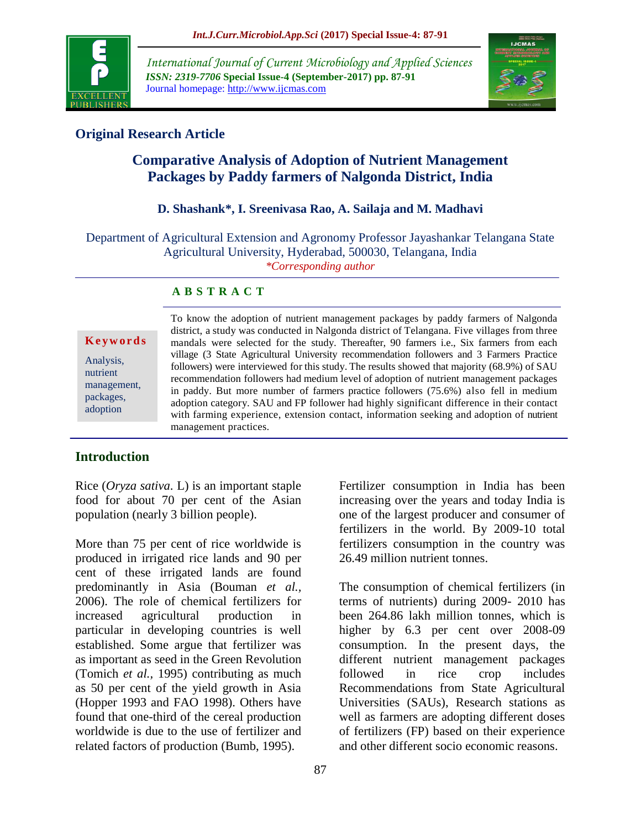

*International Journal of Current Microbiology and Applied Sciences ISSN: 2319-7706* **Special Issue-4 (September-2017) pp. 87-91** Journal homepage: http://www.ijcmas.com



## **Original Research Article**

# **Comparative Analysis of Adoption of Nutrient Management Packages by Paddy farmers of Nalgonda District, India**

## **D. Shashank\*, I. Sreenivasa Rao, A. Sailaja and M. Madhavi**

Department of Agricultural Extension and Agronomy Professor Jayashankar Telangana State Agricultural University, Hyderabad, 500030, Telangana, India *\*Corresponding author*

## **A B S T R A C T**

#### **K e y w o r d s**

Analysis, nutrient management, packages, adoption

To know the adoption of nutrient management packages by paddy farmers of Nalgonda district, a study was conducted in Nalgonda district of Telangana. Five villages from three mandals were selected for the study. Thereafter, 90 farmers i.e., Six farmers from each village (3 State Agricultural University recommendation followers and 3 Farmers Practice followers) were interviewed for this study. The results showed that majority (68.9%) of SAU recommendation followers had medium level of adoption of nutrient management packages in paddy. But more number of farmers practice followers (75.6%) also fell in medium adoption category. SAU and FP follower had highly significant difference in their contact with farming experience, extension contact, information seeking and adoption of nutrient management practices.

## **Introduction**

Rice (*Oryza sativa*. L) is an important staple food for about 70 per cent of the Asian population (nearly 3 billion people).

More than 75 per cent of rice worldwide is produced in irrigated rice lands and 90 per cent of these irrigated lands are found predominantly in Asia (Bouman *et al.,* 2006). The role of chemical fertilizers for increased agricultural production in particular in developing countries is well established. Some argue that fertilizer was as important as seed in the Green Revolution (Tomich *et al.,* 1995) contributing as much as 50 per cent of the yield growth in Asia (Hopper 1993 and FAO 1998). Others have found that one-third of the cereal production worldwide is due to the use of fertilizer and related factors of production (Bumb, 1995).

Fertilizer consumption in India has been increasing over the years and today India is one of the largest producer and consumer of fertilizers in the world. By 2009-10 total fertilizers consumption in the country was 26.49 million nutrient tonnes.

The consumption of chemical fertilizers (in terms of nutrients) during 2009- 2010 has been 264.86 lakh million tonnes, which is higher by 6.3 per cent over 2008-09 consumption. In the present days, the different nutrient management packages followed in rice crop includes Recommendations from State Agricultural Universities (SAUs), Research stations as well as farmers are adopting different doses of fertilizers (FP) based on their experience and other different socio economic reasons.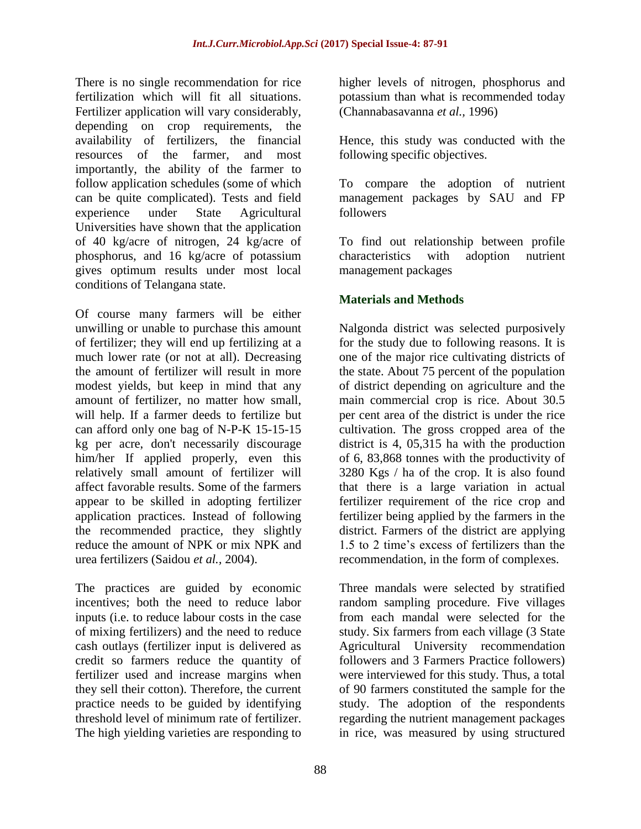There is no single recommendation for rice fertilization which will fit all situations. Fertilizer application will vary considerably, depending on crop requirements, the availability of fertilizers, the financial resources of the farmer, and most importantly, the ability of the farmer to follow application schedules (some of which can be quite complicated). Tests and field experience under State Agricultural Universities have shown that the application of 40 kg/acre of nitrogen, 24 kg/acre of phosphorus, and 16 kg/acre of potassium gives optimum results under most local conditions of Telangana state.

Of course many farmers will be either unwilling or unable to purchase this amount of fertilizer; they will end up fertilizing at a much lower rate (or not at all). Decreasing the amount of fertilizer will result in more modest yields, but keep in mind that any amount of fertilizer, no matter how small, will help. If a farmer deeds to fertilize but can afford only one bag of N-P-K 15-15-15 kg per acre, don't necessarily discourage him/her If applied properly, even this relatively small amount of fertilizer will affect favorable results. Some of the farmers appear to be skilled in adopting fertilizer application practices. Instead of following the recommended practice, they slightly reduce the amount of NPK or mix NPK and urea fertilizers (Saidou *et al.,* 2004).

The practices are guided by economic incentives; both the need to reduce labor inputs (i.e. to reduce labour costs in the case of mixing fertilizers) and the need to reduce cash outlays (fertilizer input is delivered as credit so farmers reduce the quantity of fertilizer used and increase margins when they sell their cotton). Therefore, the current practice needs to be guided by identifying threshold level of minimum rate of fertilizer. The high yielding varieties are responding to

higher levels of nitrogen, phosphorus and potassium than what is recommended today (Channabasavanna *et al.,* 1996)

Hence, this study was conducted with the following specific objectives.

To compare the adoption of nutrient management packages by SAU and FP followers

To find out relationship between profile characteristics with adoption nutrient management packages

## **Materials and Methods**

Nalgonda district was selected purposively for the study due to following reasons. It is one of the major rice cultivating districts of the state. About 75 percent of the population of district depending on agriculture and the main commercial crop is rice. About 30.5 per cent area of the district is under the rice cultivation. The gross cropped area of the district is 4, 05,315 ha with the production of 6, 83,868 tonnes with the productivity of 3280 Kgs / ha of the crop. It is also found that there is a large variation in actual fertilizer requirement of the rice crop and fertilizer being applied by the farmers in the district. Farmers of the district are applying 1.5 to 2 time's excess of fertilizers than the recommendation, in the form of complexes.

Three mandals were selected by stratified random sampling procedure. Five villages from each mandal were selected for the study. Six farmers from each village (3 State Agricultural University recommendation followers and 3 Farmers Practice followers) were interviewed for this study. Thus, a total of 90 farmers constituted the sample for the study. The adoption of the respondents regarding the nutrient management packages in rice, was measured by using structured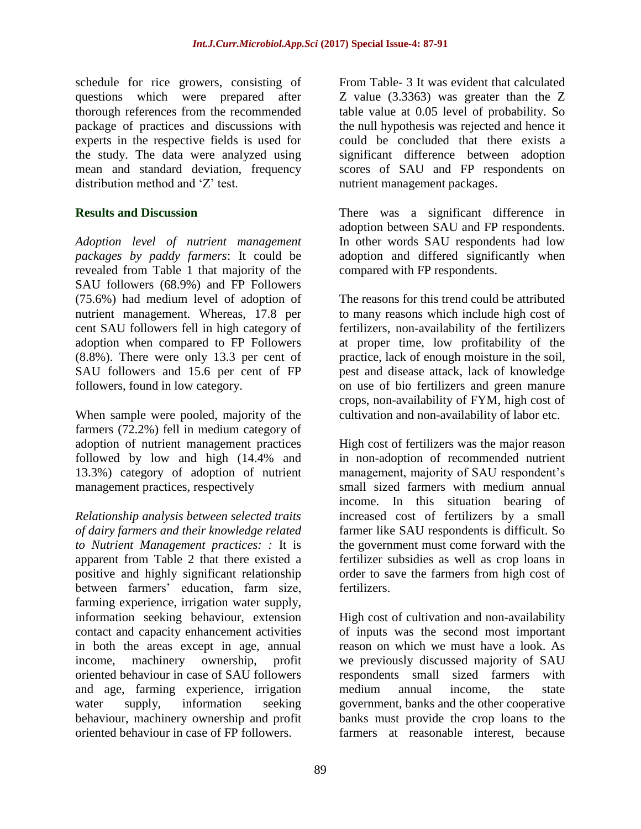schedule for rice growers, consisting of questions which were prepared after thorough references from the recommended package of practices and discussions with experts in the respective fields is used for the study. The data were analyzed using mean and standard deviation, frequency distribution method and 'Z' test.

## **Results and Discussion**

*Adoption level of nutrient management packages by paddy farmers*: It could be revealed from Table 1 that majority of the SAU followers (68.9%) and FP Followers (75.6%) had medium level of adoption of nutrient management. Whereas, 17.8 per cent SAU followers fell in high category of adoption when compared to FP Followers (8.8%). There were only 13.3 per cent of SAU followers and 15.6 per cent of FP followers, found in low category.

When sample were pooled, majority of the farmers (72.2%) fell in medium category of adoption of nutrient management practices followed by low and high (14.4% and 13.3%) category of adoption of nutrient management practices, respectively

*Relationship analysis between selected traits of dairy farmers and their knowledge related to Nutrient Management practices: :* It is apparent from Table 2 that there existed a positive and highly significant relationship between farmers' education, farm size, farming experience, irrigation water supply, information seeking behaviour, extension contact and capacity enhancement activities in both the areas except in age, annual income, machinery ownership, profit oriented behaviour in case of SAU followers and age, farming experience, irrigation water supply, information seeking behaviour, machinery ownership and profit oriented behaviour in case of FP followers.

From Table- 3 It was evident that calculated Z value (3.3363) was greater than the Z table value at 0.05 level of probability. So the null hypothesis was rejected and hence it could be concluded that there exists a significant difference between adoption scores of SAU and FP respondents on nutrient management packages.

There was a significant difference in adoption between SAU and FP respondents. In other words SAU respondents had low adoption and differed significantly when compared with FP respondents.

The reasons for this trend could be attributed to many reasons which include high cost of fertilizers, non-availability of the fertilizers at proper time, low profitability of the practice, lack of enough moisture in the soil, pest and disease attack, lack of knowledge on use of bio fertilizers and green manure crops, non-availability of FYM, high cost of cultivation and non-availability of labor etc.

High cost of fertilizers was the major reason in non-adoption of recommended nutrient management, majority of SAU respondent's small sized farmers with medium annual income. In this situation bearing of increased cost of fertilizers by a small farmer like SAU respondents is difficult. So the government must come forward with the fertilizer subsidies as well as crop loans in order to save the farmers from high cost of fertilizers.

High cost of cultivation and non-availability of inputs was the second most important reason on which we must have a look. As we previously discussed majority of SAU respondents small sized farmers with medium annual income, the state government, banks and the other cooperative banks must provide the crop loans to the farmers at reasonable interest, because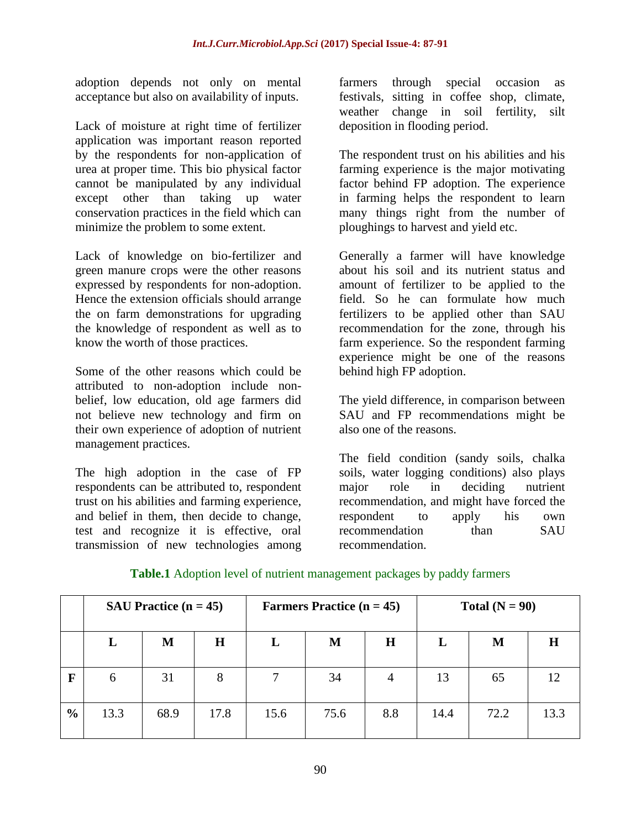adoption depends not only on mental acceptance but also on availability of inputs.

Lack of moisture at right time of fertilizer application was important reason reported by the respondents for non-application of urea at proper time. This bio physical factor cannot be manipulated by any individual except other than taking up water conservation practices in the field which can minimize the problem to some extent.

Lack of knowledge on bio-fertilizer and green manure crops were the other reasons expressed by respondents for non-adoption. Hence the extension officials should arrange the on farm demonstrations for upgrading the knowledge of respondent as well as to know the worth of those practices.

Some of the other reasons which could be attributed to non-adoption include nonbelief, low education, old age farmers did not believe new technology and firm on their own experience of adoption of nutrient management practices.

The high adoption in the case of FP respondents can be attributed to, respondent trust on his abilities and farming experience, and belief in them, then decide to change, test and recognize it is effective, oral transmission of new technologies among

farmers through special occasion as festivals, sitting in coffee shop, climate, weather change in soil fertility, silt deposition in flooding period.

The respondent trust on his abilities and his farming experience is the major motivating factor behind FP adoption. The experience in farming helps the respondent to learn many things right from the number of ploughings to harvest and yield etc.

Generally a farmer will have knowledge about his soil and its nutrient status and amount of fertilizer to be applied to the field. So he can formulate how much fertilizers to be applied other than SAU recommendation for the zone, through his farm experience. So the respondent farming experience might be one of the reasons behind high FP adoption.

The yield difference, in comparison between SAU and FP recommendations might be also one of the reasons.

The field condition (sandy soils, chalka soils, water logging conditions) also plays major role in deciding nutrient recommendation, and might have forced the respondent to apply his own recommendation than SAU recommendation.

|               | SAU Practice $(n = 45)$ |      |             | <b>Farmers Practice (n = 45)</b> |      |         | Total $(N = 90)$ |      |      |
|---------------|-------------------------|------|-------------|----------------------------------|------|---------|------------------|------|------|
|               | L                       | M    | $\mathbf H$ | L                                | M    | $\bf H$ | L                | M    | Н    |
| F             | 6                       | 31   | 8           | 7                                | 34   | 4       | 13               | 65   | 12   |
| $\frac{6}{6}$ | 13.3                    | 68.9 | 17.8        | 15.6                             | 75.6 | 8.8     | 14.4             | 72.2 | 13.3 |

## **Table.1** Adoption level of nutrient management packages by paddy farmers